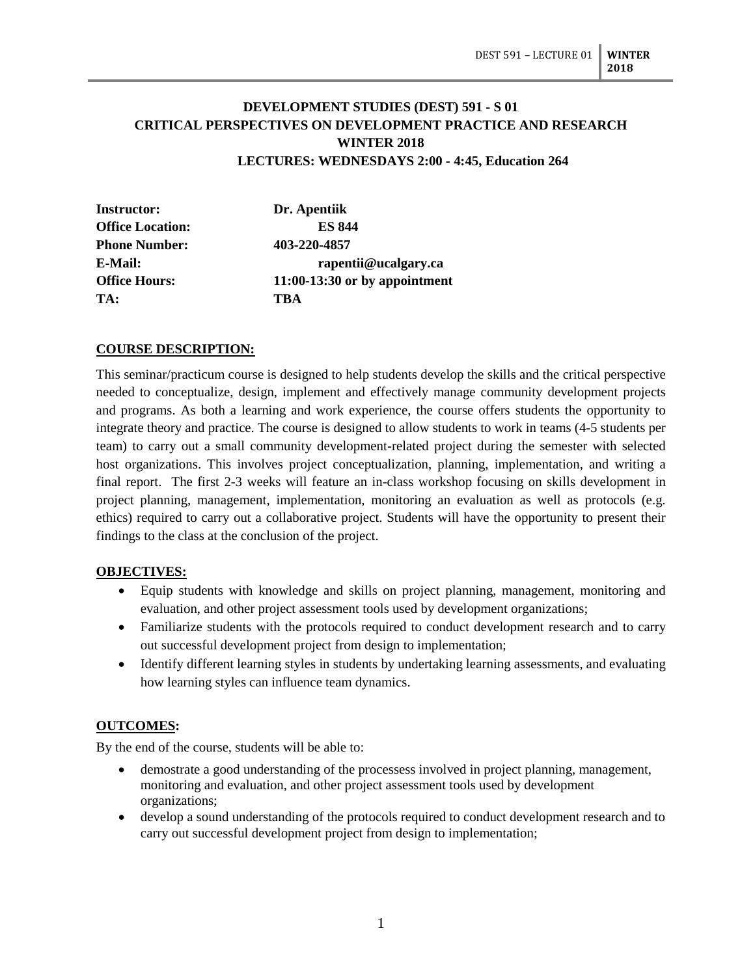# **DEVELOPMENT STUDIES (DEST) 591 - S 01 CRITICAL PERSPECTIVES ON DEVELOPMENT PRACTICE AND RESEARCH WINTER 2018 LECTURES: WEDNESDAYS 2:00 - 4:45, Education 264**

| <b>Instructor:</b>      | Dr. Apentiik                    |
|-------------------------|---------------------------------|
| <b>Office Location:</b> | <b>ES 844</b>                   |
| <b>Phone Number:</b>    | 403-220-4857                    |
| E-Mail:                 | rapentii@ucalgary.ca            |
| <b>Office Hours:</b>    | $11:00-13:30$ or by appointment |
| TA:                     | TBA                             |

# **COURSE DESCRIPTION:**

This seminar/practicum course is designed to help students develop the skills and the critical perspective needed to conceptualize, design, implement and effectively manage community development projects and programs. As both a learning and work experience, the course offers students the opportunity to integrate theory and practice. The course is designed to allow students to work in teams (4-5 students per team) to carry out a small community development-related project during the semester with selected host organizations. This involves project conceptualization, planning, implementation, and writing a final report. The first 2-3 weeks will feature an in-class workshop focusing on skills development in project planning, management, implementation, monitoring an evaluation as well as protocols (e.g. ethics) required to carry out a collaborative project. Students will have the opportunity to present their findings to the class at the conclusion of the project.

## **OBJECTIVES:**

- Equip students with knowledge and skills on project planning, management, monitoring and evaluation, and other project assessment tools used by development organizations;
- Familiarize students with the protocols required to conduct development research and to carry out successful development project from design to implementation;
- Identify different learning styles in students by undertaking learning assessments, and evaluating how learning styles can influence team dynamics.

## **OUTCOMES:**

By the end of the course, students will be able to:

- demostrate a good understanding of the processess involved in project planning, management, monitoring and evaluation, and other project assessment tools used by development organizations;
- develop a sound understanding of the protocols required to conduct development research and to carry out successful development project from design to implementation;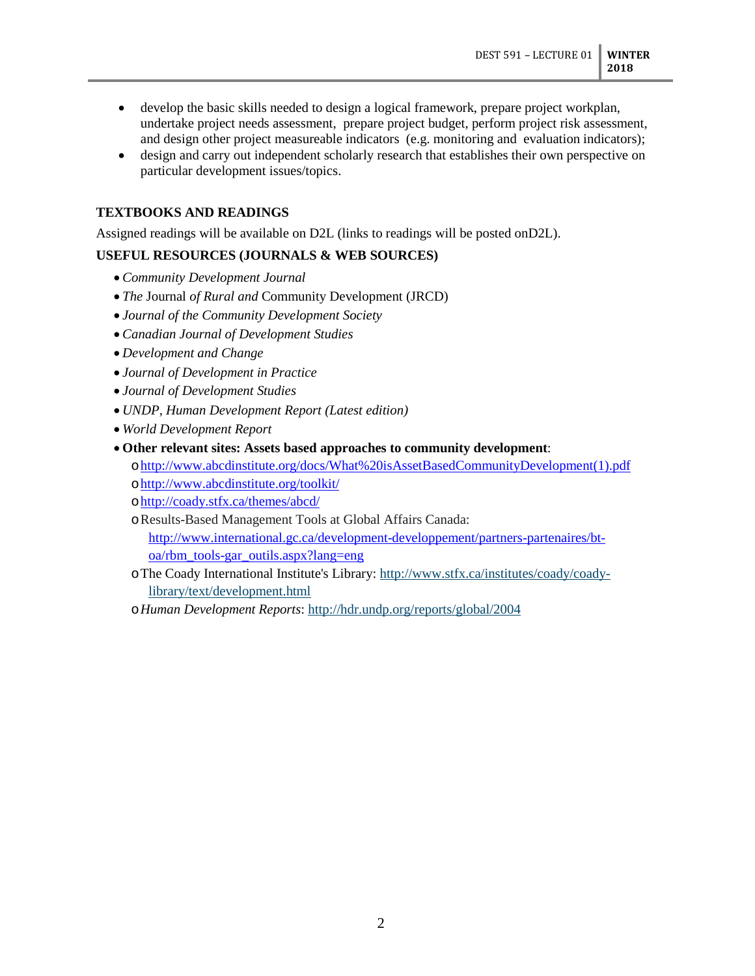- develop the basic skills needed to design a logical framework, prepare project workplan, undertake project needs assessment, prepare project budget, perform project risk assessment, and design other project measureable indicators (e.g. monitoring and evaluation indicators);
- design and carry out independent scholarly research that establishes their own perspective on particular development issues/topics.

## **TEXTBOOKS AND READINGS**

Assigned readings will be available on D2L (links to readings will be posted onD2L).

## **USEFUL RESOURCES (JOURNALS & WEB SOURCES)**

- *Community Development Journal*
- *The* Journal *of Rural and* Community Development (JRCD)
- *Journal of the Community Development Society*
- *Canadian Journal of Development Studies*
- *Development and Change*
- *Journal of Development in Practice*
- *Journal of Development Studies*
- *UNDP, Human Development Report (Latest edition)*
- *World Development Report*
- **Other relevant sites: Assets based approaches to community development**:
	- o[http://www.abcdinstitute.org/docs/What%20isAssetBasedCommunityDevelopment\(1\).pdf](http://www.abcdinstitute.org/docs/What%20isAssetBasedCommunityDevelopment(1).pdf) o<http://www.abcdinstitute.org/toolkit/>
	- o<http://coady.stfx.ca/themes/abcd/>
	- oResults-Based Management Tools at Global Affairs Canada: [http://www.international.gc.ca/development-developpement/partners-partenaires/bt](http://www.international.gc.ca/development-developpement/partners-partenaires/bt-oa/rbm_tools-gar_outils.aspx?lang=eng)[oa/rbm\\_tools-gar\\_outils.aspx?lang=eng](http://www.international.gc.ca/development-developpement/partners-partenaires/bt-oa/rbm_tools-gar_outils.aspx?lang=eng)
	- oThe Coady International Institute's Library: [http://www.stfx.ca/institutes/coady/coady](http://www.stfx.ca/institutes/coady/coady-library/text/development.html)[library/text/development.html](http://www.stfx.ca/institutes/coady/coady-library/text/development.html)

o*Human Development Reports*:<http://hdr.undp.org/reports/global/2004>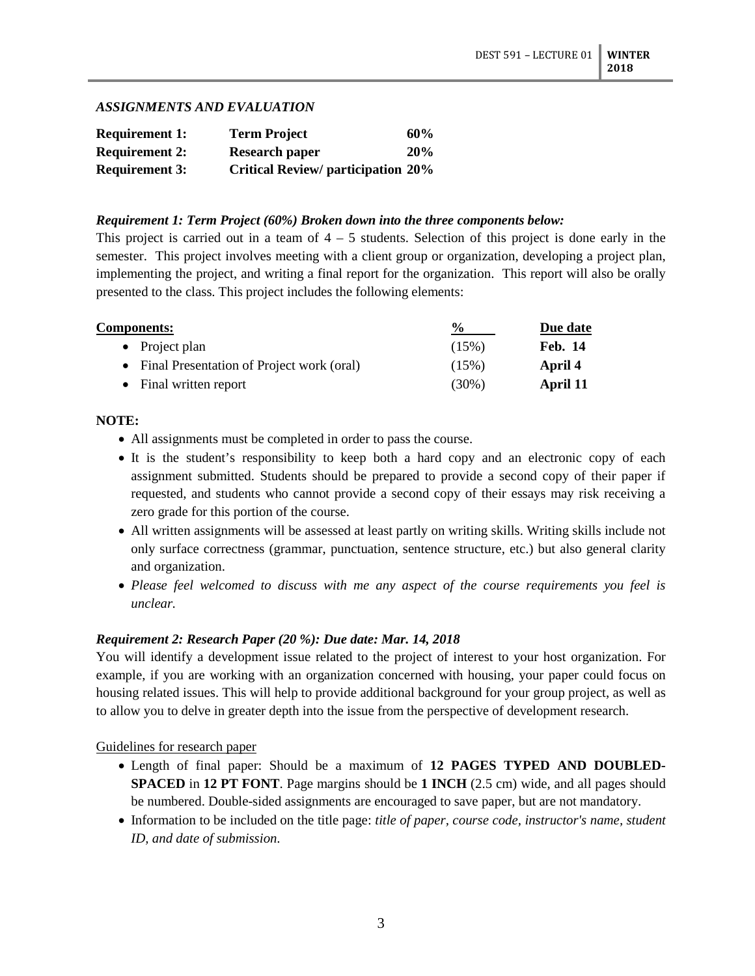### *ASSIGNMENTS AND EVALUATION*

| <b>Requirement 1:</b> | <b>Term Project</b>                       | 60% |
|-----------------------|-------------------------------------------|-----|
| <b>Requirement 2:</b> | <b>Research paper</b>                     | 20% |
| <b>Requirement 3:</b> | <b>Critical Review/ participation 20%</b> |     |

#### *Requirement 1: Term Project (60%) Broken down into the three components below:*

This project is carried out in a team of  $4 - 5$  students. Selection of this project is done early in the semester. This project involves meeting with a client group or organization, developing a project plan, implementing the project, and writing a final report for the organization. This report will also be orally presented to the class. This project includes the following elements:

| <b>Components:</b>                          | $\frac{0}{0}$ | Due date       |  |
|---------------------------------------------|---------------|----------------|--|
| • Project plan                              | (15%)         | <b>Feb. 14</b> |  |
| • Final Presentation of Project work (oral) | (15%)         | April 4        |  |
| • Final written report                      | $(30\%)$      | April 11       |  |

### **NOTE:**

- All assignments must be completed in order to pass the course.
- It is the student's responsibility to keep both a hard copy and an electronic copy of each assignment submitted. Students should be prepared to provide a second copy of their paper if requested, and students who cannot provide a second copy of their essays may risk receiving a zero grade for this portion of the course.
- All written assignments will be assessed at least partly on writing skills. Writing skills include not only surface correctness (grammar, punctuation, sentence structure, etc.) but also general clarity and organization.
- *Please feel welcomed to discuss with me any aspect of the course requirements you feel is unclear.*

# *Requirement 2: Research Paper (20 %): Due date: Mar. 14, 2018*

You will identify a development issue related to the project of interest to your host organization. For example, if you are working with an organization concerned with housing, your paper could focus on housing related issues. This will help to provide additional background for your group project, as well as to allow you to delve in greater depth into the issue from the perspective of development research.

## Guidelines for research paper

- Length of final paper: Should be a maximum of **12 PAGES TYPED AND DOUBLED-SPACED** in **12 PT FONT**. Page margins should be **1 INCH** (2.5 cm) wide, and all pages should be numbered. Double-sided assignments are encouraged to save paper, but are not mandatory.
- Information to be included on the title page: *title of paper, course code, instructor's name, student ID, and date of submission*.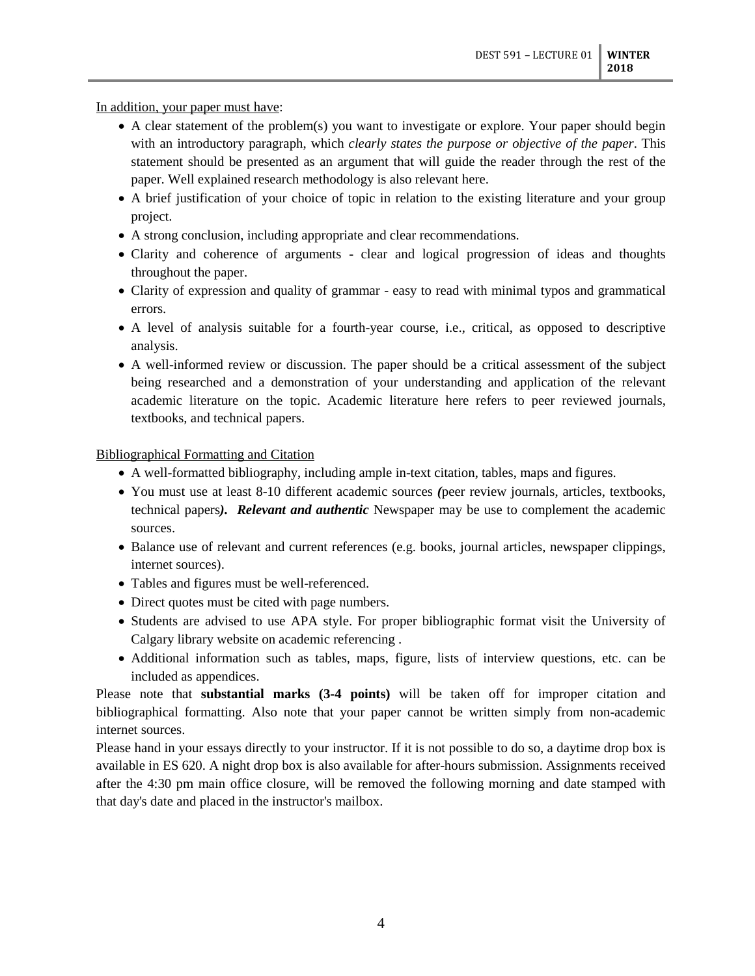In addition, your paper must have:

- A clear statement of the problem(s) you want to investigate or explore. Your paper should begin with an introductory paragraph, which *clearly states the purpose or objective of the paper*. This statement should be presented as an argument that will guide the reader through the rest of the paper. Well explained research methodology is also relevant here.
- A brief justification of your choice of topic in relation to the existing literature and your group project.
- A strong conclusion, including appropriate and clear recommendations.
- Clarity and coherence of arguments clear and logical progression of ideas and thoughts throughout the paper.
- Clarity of expression and quality of grammar easy to read with minimal typos and grammatical errors.
- A level of analysis suitable for a fourth-year course, i.e., critical, as opposed to descriptive analysis.
- A well-informed review or discussion. The paper should be a critical assessment of the subject being researched and a demonstration of your understanding and application of the relevant academic literature on the topic. Academic literature here refers to peer reviewed journals, textbooks, and technical papers.

### Bibliographical Formatting and Citation

- A well-formatted bibliography, including ample in-text citation, tables, maps and figures.
- You must use at least 8-10 different academic sources *(*peer review journals, articles, textbooks, technical papers*). Relevant and authentic* Newspaper may be use to complement the academic sources.
- Balance use of relevant and current references (e.g. books, journal articles, newspaper clippings, internet sources).
- Tables and figures must be well-referenced.
- Direct quotes must be cited with page numbers.
- Students are advised to use APA style. For proper bibliographic format visit the University of Calgary library website on academic referencing .
- Additional information such as tables, maps, figure, lists of interview questions, etc. can be included as appendices.

Please note that **substantial marks (3-4 points)** will be taken off for improper citation and bibliographical formatting. Also note that your paper cannot be written simply from non-academic internet sources.

Please hand in your essays directly to your instructor. If it is not possible to do so, a daytime drop box is available in ES 620. A night drop box is also available for after-hours submission. Assignments received after the 4:30 pm main office closure, will be removed the following morning and date stamped with that day's date and placed in the instructor's mailbox.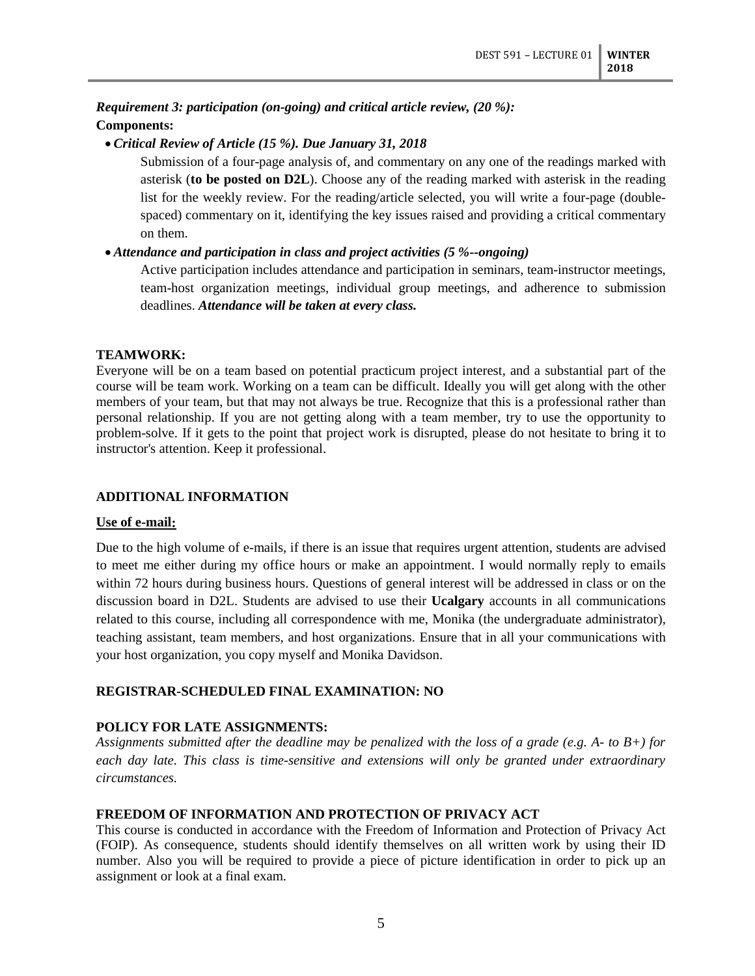# *Requirement 3: participation (on-going) and critical article review, (20 %):* **Components:**

• *Critical Review of Article (15 %). Due January 31, 2018*

Submission of a four-page analysis of, and commentary on any one of the readings marked with asterisk (**to be posted on D2L**). Choose any of the reading marked with asterisk in the reading list for the weekly review. For the reading/article selected, you will write a four-page (doublespaced) commentary on it, identifying the key issues raised and providing a critical commentary on them.

## • *Attendance and participation in class and project activities (5 %--ongoing)*

Active participation includes attendance and participation in seminars, team-instructor meetings, team-host organization meetings, individual group meetings, and adherence to submission deadlines. *Attendance will be taken at every class.*

### **TEAMWORK:**

Everyone will be on a team based on potential practicum project interest, and a substantial part of the course will be team work. Working on a team can be difficult. Ideally you will get along with the other members of your team, but that may not always be true. Recognize that this is a professional rather than personal relationship. If you are not getting along with a team member, try to use the opportunity to problem-solve. If it gets to the point that project work is disrupted, please do not hesitate to bring it to instructor's attention. Keep it professional.

## **ADDITIONAL INFORMATION**

#### **Use of e-mail:**

Due to the high volume of e-mails, if there is an issue that requires urgent attention, students are advised to meet me either during my office hours or make an appointment. I would normally reply to emails within 72 hours during business hours. Questions of general interest will be addressed in class or on the discussion board in D2L. Students are advised to use their **Ucalgary** accounts in all communications related to this course, including all correspondence with me, Monika (the undergraduate administrator), teaching assistant, team members, and host organizations. Ensure that in all your communications with your host organization, you copy myself and Monika Davidson.

## **REGISTRAR-SCHEDULED FINAL EXAMINATION: NO**

#### **POLICY FOR LATE ASSIGNMENTS:**

*Assignments submitted after the deadline may be penalized with the loss of a grade (e.g. A- to B+) for each day late. This class is time-sensitive and extensions will only be granted under extraordinary circumstances.*

#### **FREEDOM OF INFORMATION AND PROTECTION OF PRIVACY ACT**

This course is conducted in accordance with the Freedom of Information and Protection of Privacy Act (FOIP). As consequence, students should identify themselves on all written work by using their ID number. Also you will be required to provide a piece of picture identification in order to pick up an assignment or look at a final exam.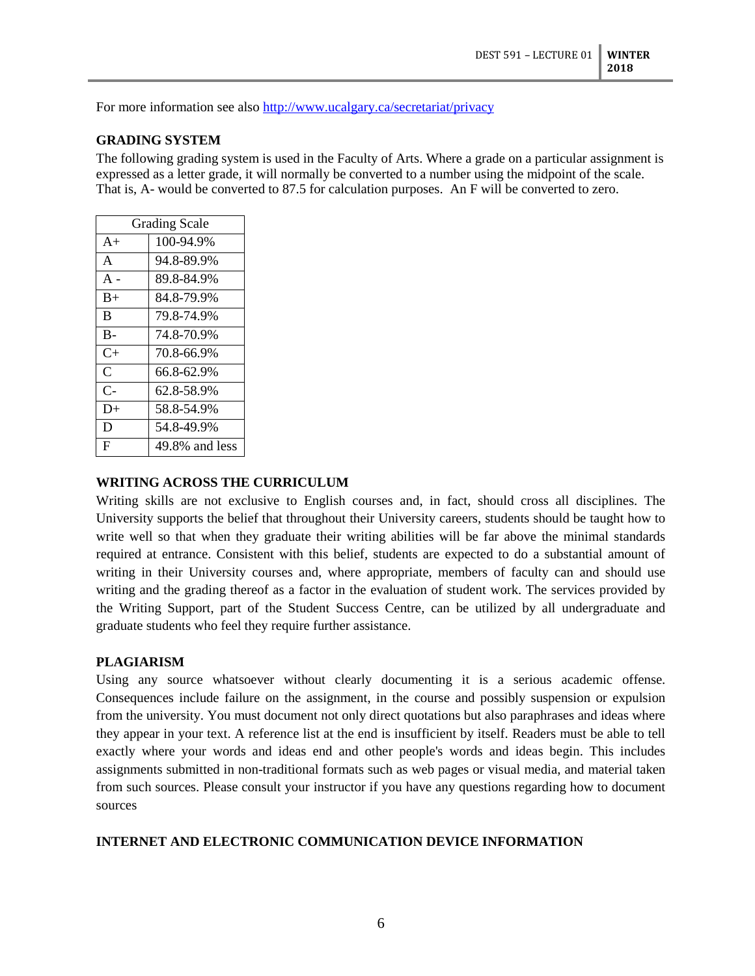For more information see also<http://www.ucalgary.ca/secretariat/privacy>

### **GRADING SYSTEM**

The following grading system is used in the Faculty of Arts. Where a grade on a particular assignment is expressed as a letter grade, it will normally be converted to a number using the midpoint of the scale. That is, A- would be converted to 87.5 for calculation purposes. An F will be converted to zero.

| <b>Grading Scale</b> |                |  |
|----------------------|----------------|--|
| $A+$                 | 100-94.9%      |  |
| $\mathsf{A}$         | 94.8-89.9%     |  |
| $A -$                | 89.8-84.9%     |  |
| $B+$                 | 84.8-79.9%     |  |
| B                    | 79.8-74.9%     |  |
| $B -$                | 74.8-70.9%     |  |
| $C_{\pm}$            | 70.8-66.9%     |  |
| C                    | 66.8-62.9%     |  |
| $C-$                 | 62.8-58.9%     |  |
| D+                   | 58.8-54.9%     |  |
| D                    | 54.8-49.9%     |  |
| F                    | 49.8% and less |  |

### **WRITING ACROSS THE CURRICULUM**

Writing skills are not exclusive to English courses and, in fact, should cross all disciplines. The University supports the belief that throughout their University careers, students should be taught how to write well so that when they graduate their writing abilities will be far above the minimal standards required at entrance. Consistent with this belief, students are expected to do a substantial amount of writing in their University courses and, where appropriate, members of faculty can and should use writing and the grading thereof as a factor in the evaluation of student work. The services provided by the Writing Support, part of the Student Success Centre, can be utilized by all undergraduate and graduate students who feel they require further assistance.

#### **PLAGIARISM**

Using any source whatsoever without clearly documenting it is a serious academic offense. Consequences include failure on the assignment, in the course and possibly suspension or expulsion from the university. You must document not only direct quotations but also paraphrases and ideas where they appear in your text. A reference list at the end is insufficient by itself. Readers must be able to tell exactly where your words and ideas end and other people's words and ideas begin. This includes assignments submitted in non-traditional formats such as web pages or visual media, and material taken from such sources. Please consult your instructor if you have any questions regarding how to document sources

## **INTERNET AND ELECTRONIC COMMUNICATION DEVICE INFORMATION**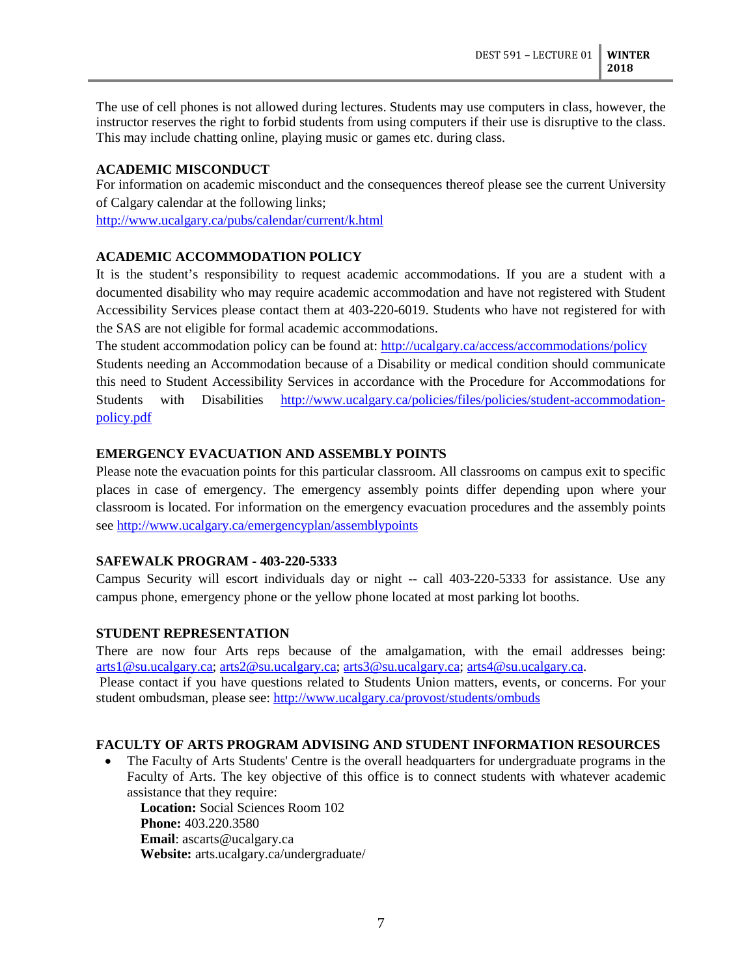The use of cell phones is not allowed during lectures. Students may use computers in class, however, the instructor reserves the right to forbid students from using computers if their use is disruptive to the class. This may include chatting online, playing music or games etc. during class.

## **ACADEMIC MISCONDUCT**

For information on academic misconduct and the consequences thereof please see the current University of Calgary calendar at the following links;

<http://www.ucalgary.ca/pubs/calendar/current/k.html>

# **ACADEMIC ACCOMMODATION POLICY**

It is the student's responsibility to request academic accommodations. If you are a student with a documented disability who may require academic accommodation and have not registered with Student Accessibility Services please contact them at 403-220-6019. Students who have not registered for with the SAS are not eligible for formal academic accommodations.

The student accommodation policy can be found at:<http://ucalgary.ca/access/accommodations/policy>

Students needing an Accommodation because of a Disability or medical condition should communicate this need to Student Accessibility Services in accordance with the Procedure for Accommodations for Students with Disabilities [http://www.ucalgary.ca/policies/files/policies/student-accommodation](http://www.ucalgary.ca/policies/files/policies/student-accommodation-policy.pdf)[policy.pdf](http://www.ucalgary.ca/policies/files/policies/student-accommodation-policy.pdf)

## **EMERGENCY EVACUATION AND ASSEMBLY POINTS**

Please note the evacuation points for this particular classroom. All classrooms on campus exit to specific places in case of emergency. The emergency assembly points differ depending upon where your classroom is located. For information on the emergency evacuation procedures and the assembly points see<http://www.ucalgary.ca/emergencyplan/assemblypoints>

## **SAFEWALK PROGRAM - 403-220-5333**

Campus Security will escort individuals day or night -- call 403-220-5333 for assistance. Use any campus phone, emergency phone or the yellow phone located at most parking lot booths.

## **STUDENT REPRESENTATION**

There are now four Arts reps because of the amalgamation, with the email addresses being: [arts1@su.ucalgary.ca;](mailto:arts1@su.ucalgary.ca) [arts2@su.ucalgary.ca;](mailto:arts2@su.ucalgary.ca) [arts3@su.ucalgary.ca;](mailto:arts3@su.ucalgary.ca) [arts4@su.ucalgary.ca.](mailto:arts4@su.ucalgary.ca)

Please contact if you have questions related to Students Union matters, events, or concerns. For your student ombudsman, please see:<http://www.ucalgary.ca/provost/students/ombuds>

## **FACULTY OF ARTS PROGRAM ADVISING AND STUDENT INFORMATION RESOURCES**

• The Faculty of Arts Students' Centre is the overall headquarters for undergraduate programs in the Faculty of Arts. The key objective of this office is to connect students with whatever academic assistance that they require:

**Location:** Social Sciences Room 102 **Phone:** 403.220.3580 **Email**: ascarts@ucalgary.ca **Website:** arts.ucalgary.ca/undergraduate/